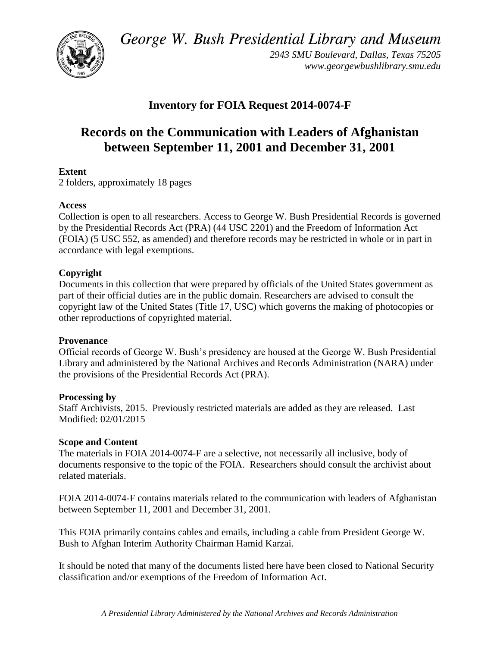*George W. Bush Presidential Library and Museum* 



*2943 SMU Boulevard, Dallas, Texas 75205 <www.georgewbushlibrary.smu.edu>*

# **Inventory for FOIA Request 2014-0074-F**

# **Records on the Communication with Leaders of Afghanistan between September 11, 2001 and December 31, 2001**

## **Extent**

2 folders, approximately 18 pages

#### **Access**

Collection is open to all researchers. Access to George W. Bush Presidential Records is governed by the Presidential Records Act (PRA) (44 USC 2201) and the Freedom of Information Act (FOIA) (5 USC 552, as amended) and therefore records may be restricted in whole or in part in accordance with legal exemptions.

## **Copyright**

Documents in this collection that were prepared by officials of the United States government as part of their official duties are in the public domain. Researchers are advised to consult the copyright law of the United States (Title 17, USC) which governs the making of photocopies or other reproductions of copyrighted material.

#### **Provenance**

 Official records of George W. Bush's presidency are housed at the George W. Bush Presidential Library and administered by the National Archives and Records Administration (NARA) under the provisions of the Presidential Records Act (PRA).

#### **Processing by**

Staff Archivists, 2015. Previously restricted materials are added as they are released. Last Modified: 02/01/2015

#### **Scope and Content**

 The materials in FOIA 2014-0074-F are a selective, not necessarily all inclusive, body of documents responsive to the topic of the FOIA. Researchers should consult the archivist about related materials.

FOIA 2014-0074-F contains materials related to the communication with leaders of Afghanistan between September 11, 2001 and December 31, 2001.

 This FOIA primarily contains cables and emails, including a cable from President George W. Bush to Afghan Interim Authority Chairman Hamid Karzai.

It should be noted that many of the documents listed here have been closed to National Security classification and/or exemptions of the Freedom of Information Act.